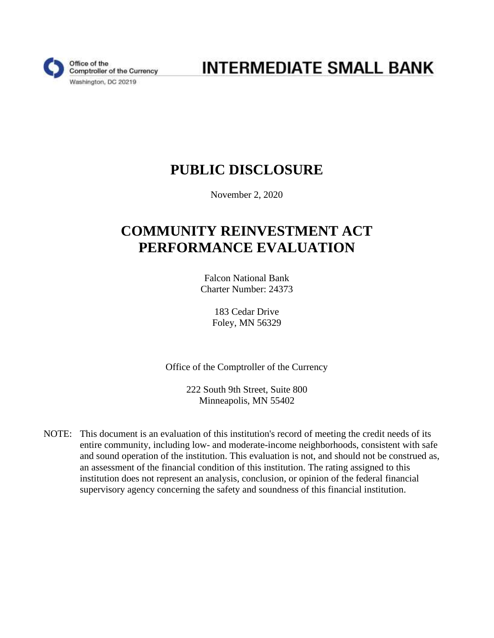

**INTERMEDIATE SMALL BANK** 

# **PUBLIC DISCLOSURE**

November 2, 2020

# **COMMUNITY REINVESTMENT ACT PERFORMANCE EVALUATION**

Falcon National Bank Charter Number: 24373

> 183 Cedar Drive Foley, MN 56329

Office of the Comptroller of the Currency

222 South 9th Street, Suite 800 Minneapolis, MN 55402

NOTE: This document is an evaluation of this institution's record of meeting the credit needs of its entire community, including low- and moderate-income neighborhoods, consistent with safe and sound operation of the institution. This evaluation is not, and should not be construed as, an assessment of the financial condition of this institution. The rating assigned to this institution does not represent an analysis, conclusion, or opinion of the federal financial supervisory agency concerning the safety and soundness of this financial institution.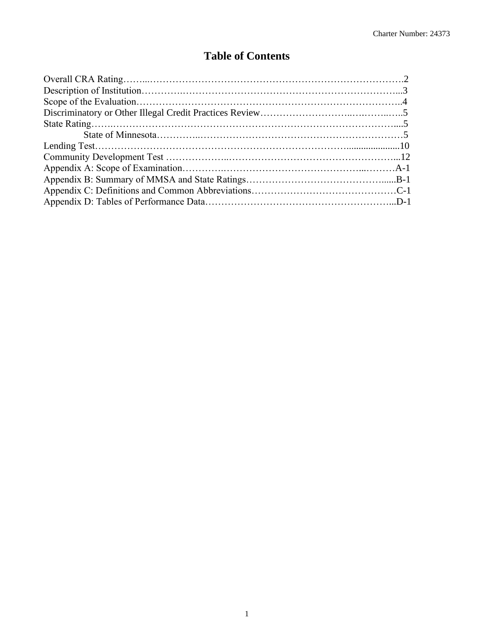### **Table of Contents**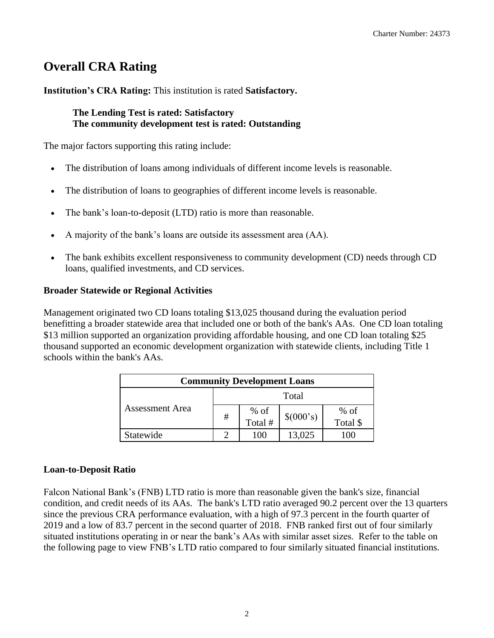# <span id="page-2-0"></span>**Overall CRA Rating**

**Institution's CRA Rating:** This institution is rated **Satisfactory.** 

#### **The Lending Test is rated: Satisfactory The community development test is rated: Outstanding**

The major factors supporting this rating include:

- The distribution of loans among individuals of different income levels is reasonable.
- The distribution of loans to geographies of different income levels is reasonable.
- The bank's loan-to-deposit (LTD) ratio is more than reasonable.
- A majority of the bank's loans are outside its assessment area (AA).
- The bank exhibits excellent responsiveness to community development (CD) needs through CD loans, qualified investments, and CD services.

#### **Broader Statewide or Regional Activities**

Management originated two CD loans totaling \$13,025 thousand during the evaluation period benefitting a broader statewide area that included one or both of the bank's AAs. One CD loan totaling \$13 million supported an organization providing affordable housing, and one CD loan totaling \$25 thousand supported an economic development organization with statewide clients, including Title 1 schools within the bank's AAs.

| <b>Community Development Loans</b> |   |                   |           |                    |  |  |  |  |
|------------------------------------|---|-------------------|-----------|--------------------|--|--|--|--|
| <b>Assessment Area</b>             |   | Total             |           |                    |  |  |  |  |
|                                    | # | $%$ of<br>Total # | \$(000's) | $%$ of<br>Total \$ |  |  |  |  |
| Statewide                          |   | 100               | 13,025    | (1)                |  |  |  |  |

#### **Loan-to-Deposit Ratio**

the following page to view FNB's LTD ratio compared to four similarly situated financial institutions.<br>
2 Falcon National Bank's (FNB) LTD ratio is more than reasonable given the bank's size, financial condition, and credit needs of its AAs. The bank's LTD ratio averaged 90.2 percent over the 13 quarters since the previous CRA performance evaluation, with a high of 97.3 percent in the fourth quarter of 2019 and a low of 83.7 percent in the second quarter of 2018. FNB ranked first out of four similarly situated institutions operating in or near the bank's AAs with similar asset sizes. Refer to the table on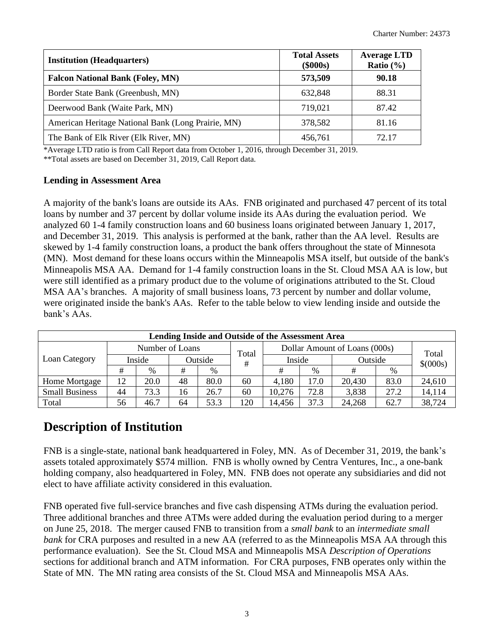| <b>Institution (Headquarters)</b>                  | <b>Total Assets</b><br>$(\$000s)$ | <b>Average LTD</b><br>Ratio $(\% )$ |
|----------------------------------------------------|-----------------------------------|-------------------------------------|
| <b>Falcon National Bank (Foley, MN)</b>            | 573,509                           | 90.18                               |
| Border State Bank (Greenbush, MN)                  | 632,848                           | 88.31                               |
| Deerwood Bank (Waite Park, MN)                     | 719,021                           | 87.42                               |
| American Heritage National Bank (Long Prairie, MN) | 378,582                           | 81.16                               |
| The Bank of Elk River (Elk River, MN)              | 456,761                           | 72.17                               |

\*Average LTD ratio is from Call Report data from October 1, 2016, through December 31, 2019.

\*\*Total assets are based on December 31, 2019, Call Report data.

#### **Lending in Assessment Area**

 were originated inside the bank's AAs. Refer to the table below to view lending inside and outside the bank's AAs. A majority of the bank's loans are outside its AAs. FNB originated and purchased 47 percent of its total loans by number and 37 percent by dollar volume inside its AAs during the evaluation period. We analyzed 60 1-4 family construction loans and 60 business loans originated between January 1, 2017, and December 31, 2019. This analysis is performed at the bank, rather than the AA level. Results are skewed by 1-4 family construction loans, a product the bank offers throughout the state of Minnesota (MN). Most demand for these loans occurs within the Minneapolis MSA itself, but outside of the bank's Minneapolis MSA AA. Demand for 1-4 family construction loans in the St. Cloud MSA AA is low, but were still identified as a primary product due to the volume of originations attributed to the St. Cloud MSA AA's branches. A majority of small business loans, 73 percent by number and dollar volume,

| Lending Inside and Outside of the Assessment Area |    |                 |    |         |       |        |                               |         |      |                   |
|---------------------------------------------------|----|-----------------|----|---------|-------|--------|-------------------------------|---------|------|-------------------|
| Loan Category                                     |    | Number of Loans |    |         | Total |        | Dollar Amount of Loans (000s) |         |      |                   |
|                                                   |    | Inside          |    | Outside | #     | Inside |                               | Outside |      | Total<br>\$(000s) |
|                                                   | #  | %               | #  | %       |       | #      | %                             | #       | %    |                   |
| Home Mortgage                                     | 12 | 20.0            | 48 | 80.0    | 60    | 4,180  | 17.0                          | 20,430  | 83.0 | 24,610            |
| <b>Small Business</b>                             | 44 | 73.3            | 16 | 26.7    | 60    | 10,276 | 72.8                          | 3,838   | 27.2 | 14,114            |
| Total                                             | 56 | 46.7            | 64 | 53.3    | 120   | 14,456 | 37.3                          | 24,268  | 62.7 | 38,724            |

### <span id="page-3-0"></span>**Description of Institution**

 elect to have affiliate activity considered in this evaluation. FNB is a single-state, national bank headquartered in Foley, MN. As of December 31, 2019, the bank's assets totaled approximately \$574 million. FNB is wholly owned by Centra Ventures, Inc., a one-bank holding company, also headquartered in Foley, MN. FNB does not operate any subsidiaries and did not

State of MN. The MN rating area consists of the St. Cloud MSA and Minneapolis MSA AAs.<br>3 FNB operated five full-service branches and five cash dispensing ATMs during the evaluation period. Three additional branches and three ATMs were added during the evaluation period during to a merger on June 25, 2018. The merger caused FNB to transition from a *small bank* to an *intermediate small bank* for CRA purposes and resulted in a new AA (referred to as the Minneapolis MSA AA through this performance evaluation). See the St. Cloud MSA and Minneapolis MSA *Description of Operations*  sections for additional branch and ATM information. For CRA purposes, FNB operates only within the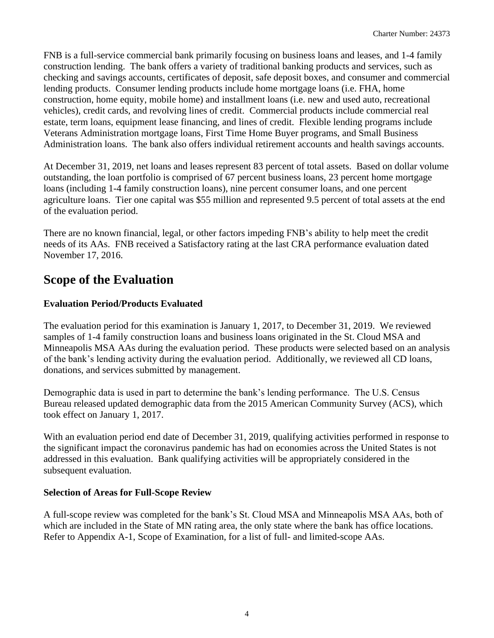FNB is a full-service commercial bank primarily focusing on business loans and leases, and 1-4 family construction lending. The bank offers a variety of traditional banking products and services, such as checking and savings accounts, certificates of deposit, safe deposit boxes, and consumer and commercial lending products. Consumer lending products include home mortgage loans (i.e. FHA, home construction, home equity, mobile home) and installment loans (i.e. new and used auto, recreational vehicles), credit cards, and revolving lines of credit. Commercial products include commercial real estate, term loans, equipment lease financing, and lines of credit. Flexible lending programs include Veterans Administration mortgage loans, First Time Home Buyer programs, and Small Business Administration loans. The bank also offers individual retirement accounts and health savings accounts.

 of the evaluation period. At December 31, 2019, net loans and leases represent 83 percent of total assets. Based on dollar volume outstanding, the loan portfolio is comprised of 67 percent business loans, 23 percent home mortgage loans (including 1-4 family construction loans), nine percent consumer loans, and one percent agriculture loans. Tier one capital was \$55 million and represented 9.5 percent of total assets at the end

There are no known financial, legal, or other factors impeding FNB's ability to help meet the credit needs of its AAs. FNB received a Satisfactory rating at the last CRA performance evaluation dated November 17, 2016.

# <span id="page-4-0"></span>**Scope of the Evaluation**

#### **Evaluation Period/Products Evaluated**

The evaluation period for this examination is January 1, 2017, to December 31, 2019. We reviewed samples of 1-4 family construction loans and business loans originated in the St. Cloud MSA and Minneapolis MSA AAs during the evaluation period. These products were selected based on an analysis of the bank's lending activity during the evaluation period. Additionally, we reviewed all CD loans, donations, and services submitted by management.

Demographic data is used in part to determine the bank's lending performance. The U.S. Census Bureau released updated demographic data from the 2015 American Community Survey (ACS), which took effect on January 1, 2017.

 With an evaluation period end date of December 31, 2019, qualifying activities performed in response to the significant impact the coronavirus pandemic has had on economies across the United States is not addressed in this evaluation. Bank qualifying activities will be appropriately considered in the subsequent evaluation.

#### **Selection of Areas for Full-Scope Review**

 which are included in the State of MN rating area, the only state where the bank has office locations. Refer to Appendix A-1, Scope of Examination, for a list of full- and limited-scope AAs. A full-scope review was completed for the bank's St. Cloud MSA and Minneapolis MSA AAs, both of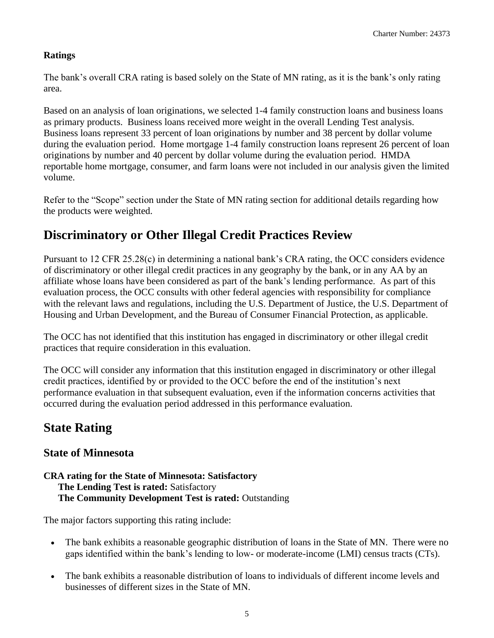#### **Ratings**

The bank's overall CRA rating is based solely on the State of MN rating, as it is the bank's only rating area.

Based on an analysis of loan originations, we selected 1-4 family construction loans and business loans as primary products. Business loans received more weight in the overall Lending Test analysis. Business loans represent 33 percent of loan originations by number and 38 percent by dollar volume during the evaluation period. Home mortgage 1-4 family construction loans represent 26 percent of loan originations by number and 40 percent by dollar volume during the evaluation period. HMDA reportable home mortgage, consumer, and farm loans were not included in our analysis given the limited volume.

Refer to the "Scope" section under the State of MN rating section for additional details regarding how the products were weighted.

# <span id="page-5-0"></span>**Discriminatory or Other Illegal Credit Practices Review**

Pursuant to 12 CFR 25.28(c) in determining a national bank's CRA rating, the OCC considers evidence of discriminatory or other illegal credit practices in any geography by the bank, or in any AA by an affiliate whose loans have been considered as part of the bank's lending performance. As part of this evaluation process, the OCC consults with other federal agencies with responsibility for compliance with the relevant laws and regulations, including the U.S. Department of Justice, the U.S. Department of Housing and Urban Development, and the Bureau of Consumer Financial Protection, as applicable.

The OCC has not identified that this institution has engaged in discriminatory or other illegal credit practices that require consideration in this evaluation.

The OCC will consider any information that this institution engaged in discriminatory or other illegal credit practices, identified by or provided to the OCC before the end of the institution's next performance evaluation in that subsequent evaluation, even if the information concerns activities that occurred during the evaluation period addressed in this performance evaluation.

### <span id="page-5-1"></span>**State Rating**

### <span id="page-5-2"></span>**State of Minnesota**

#### **The Lending Test is rated:** Satisfactory **CRA rating for the State of Minnesota: Satisfactory The Community Development Test is rated:** Outstanding

The major factors supporting this rating include:

- The bank exhibits a reasonable geographic distribution of loans in the State of MN. There were no gaps identified within the bank's lending to low- or moderate-income (LMI) census tracts (CTs).
- The bank exhibits a reasonable distribution of loans to individuals of different income levels and businesses of different sizes in the State of MN.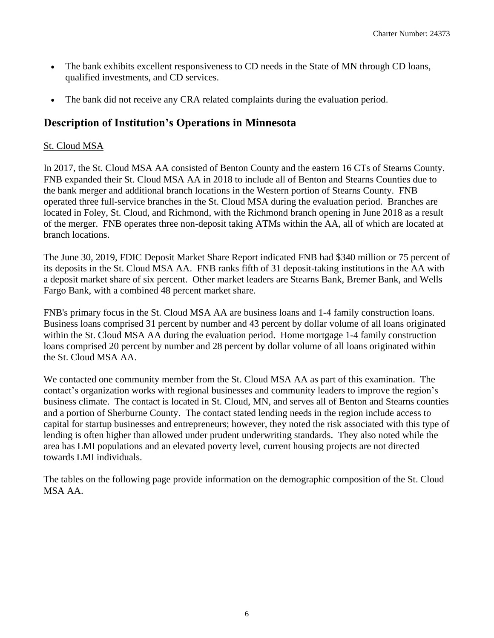- The bank exhibits excellent responsiveness to CD needs in the State of MN through CD loans, qualified investments, and CD services.
- The bank did not receive any CRA related complaints during the evaluation period.

### **Description of Institution's Operations in Minnesota**

#### St. Cloud MSA

branch locations. In 2017, the St. Cloud MSA AA consisted of Benton County and the eastern 16 CTs of Stearns County. FNB expanded their St. Cloud MSA AA in 2018 to include all of Benton and Stearns Counties due to the bank merger and additional branch locations in the Western portion of Stearns County. FNB operated three full-service branches in the St. Cloud MSA during the evaluation period. Branches are located in Foley, St. Cloud, and Richmond, with the Richmond branch opening in June 2018 as a result of the merger. FNB operates three non-deposit taking ATMs within the AA, all of which are located at

The June 30, 2019, FDIC Deposit Market Share Report indicated FNB had \$340 million or 75 percent of its deposits in the St. Cloud MSA AA. FNB ranks fifth of 31 deposit-taking institutions in the AA with a deposit market share of six percent. Other market leaders are Stearns Bank, Bremer Bank, and Wells Fargo Bank, with a combined 48 percent market share.

FNB's primary focus in the St. Cloud MSA AA are business loans and 1-4 family construction loans. Business loans comprised 31 percent by number and 43 percent by dollar volume of all loans originated within the St. Cloud MSA AA during the evaluation period. Home mortgage 1-4 family construction loans comprised 20 percent by number and 28 percent by dollar volume of all loans originated within the St. Cloud MSA AA.

towards LMI individuals. We contacted one community member from the St. Cloud MSA AA as part of this examination. The contact's organization works with regional businesses and community leaders to improve the region's business climate. The contact is located in St. Cloud, MN, and serves all of Benton and Stearns counties and a portion of Sherburne County. The contact stated lending needs in the region include access to capital for startup businesses and entrepreneurs; however, they noted the risk associated with this type of lending is often higher than allowed under prudent underwriting standards. They also noted while the area has LMI populations and an elevated poverty level, current housing projects are not directed

The tables on the following page provide information on the demographic composition of the St. Cloud MSA AA.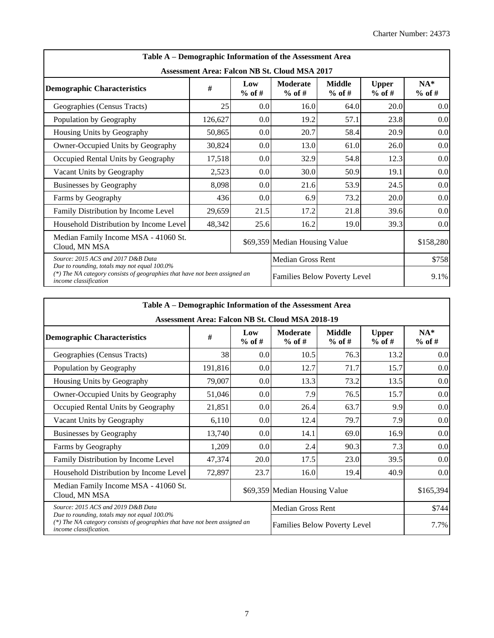| Table A – Demographic Information of the Assessment Area                                                                                            |         |                  |                               |                           |                          |                   |  |  |  |  |
|-----------------------------------------------------------------------------------------------------------------------------------------------------|---------|------------------|-------------------------------|---------------------------|--------------------------|-------------------|--|--|--|--|
| <b>Assessment Area: Falcon NB St. Cloud MSA 2017</b>                                                                                                |         |                  |                               |                           |                          |                   |  |  |  |  |
| <b>Demographic Characteristics</b>                                                                                                                  | #       | Low<br>$%$ of #  | Moderate<br>$%$ of #          | <b>Middle</b><br>$%$ of # | <b>Upper</b><br>$%$ of # | $NA*$<br>$%$ of # |  |  |  |  |
| Geographies (Census Tracts)                                                                                                                         | 25      | 0.0              | 16.0                          | 64.0                      | 20.0                     | 0.0               |  |  |  |  |
| Population by Geography                                                                                                                             | 126,627 | 0.0              | 19.2                          | 57.1                      | 23.8                     | 0.0               |  |  |  |  |
| Housing Units by Geography                                                                                                                          | 50,865  | 0.0              | 20.7                          | 58.4                      | 20.9                     | 0.0               |  |  |  |  |
| Owner-Occupied Units by Geography                                                                                                                   | 30,824  | 0.0 <sub>1</sub> | 13.0                          | 61.0                      | 26.0                     | 0.0               |  |  |  |  |
| Occupied Rental Units by Geography                                                                                                                  | 17,518  | 0.0 <sub>1</sub> | 32.9                          | 54.8                      | 12.3                     | 0.0               |  |  |  |  |
| Vacant Units by Geography                                                                                                                           | 2,523   | 0.0              | 30.0                          | 50.9                      | 19.1                     | 0.0               |  |  |  |  |
| <b>Businesses by Geography</b>                                                                                                                      | 8,098   | 0.0 <sub>1</sub> | 21.6                          | 53.9                      | 24.5                     | 0.0               |  |  |  |  |
| Farms by Geography                                                                                                                                  | 436     | 0.0              | 6.9                           | 73.2                      | 20.0                     | 0.0               |  |  |  |  |
| Family Distribution by Income Level                                                                                                                 | 29,659  | 21.5             | 17.2                          | 21.8                      | 39.6                     | 0.0               |  |  |  |  |
| Household Distribution by Income Level                                                                                                              | 48,342  | 25.6             | 16.2                          | 19.0                      | 39.3                     | 0.0               |  |  |  |  |
| Median Family Income MSA - 41060 St.<br>Cloud, MN MSA                                                                                               |         |                  | \$69,359 Median Housing Value |                           |                          | \$158,280         |  |  |  |  |
| Source: 2015 ACS and 2017 D&B Data                                                                                                                  |         |                  | <b>Median Gross Rent</b>      |                           |                          | \$758             |  |  |  |  |
| Due to rounding, totals may not equal 100.0%<br>(*) The NA category consists of geographies that have not been assigned an<br>income classification |         |                  | Families Below Poverty Level  | 9.1%                      |                          |                   |  |  |  |  |

| Table A – Demographic Information of the Assessment Area                                                                                             |         |                 |                               |                           |                          |                   |  |  |  |  |
|------------------------------------------------------------------------------------------------------------------------------------------------------|---------|-----------------|-------------------------------|---------------------------|--------------------------|-------------------|--|--|--|--|
| Assessment Area: Falcon NB St. Cloud MSA 2018-19                                                                                                     |         |                 |                               |                           |                          |                   |  |  |  |  |
| <b>Demographic Characteristics</b>                                                                                                                   | #       | Low<br>$%$ of # | <b>Moderate</b><br>$%$ of #   | <b>Middle</b><br>$%$ of # | <b>Upper</b><br>$%$ of # | $NA*$<br>$%$ of # |  |  |  |  |
| Geographies (Census Tracts)                                                                                                                          | 38      | 0.0             | 10.5                          | 76.3                      | 13.2                     | 0.0               |  |  |  |  |
| Population by Geography                                                                                                                              | 191,816 | 0.0             | 12.7                          | 71.7                      | 15.7                     | 0.0               |  |  |  |  |
| Housing Units by Geography                                                                                                                           | 79,007  | 0.0             | 13.3                          | 73.2                      | 13.5                     | 0.0               |  |  |  |  |
| Owner-Occupied Units by Geography                                                                                                                    | 51,046  | 0.0             | 7.9                           | 76.5                      | 15.7                     | 0.0               |  |  |  |  |
| Occupied Rental Units by Geography                                                                                                                   | 21,851  | 0.0             | 26.4                          | 63.7                      | 9.9                      | 0.0               |  |  |  |  |
| Vacant Units by Geography                                                                                                                            | 6,110   | 0.0             | 12.4                          | 79.7                      | 7.9                      | 0.0               |  |  |  |  |
| <b>Businesses by Geography</b>                                                                                                                       | 13,740  | 0.0             | 14.1                          | 69.0                      | 16.9                     | 0.0               |  |  |  |  |
| Farms by Geography                                                                                                                                   | 1,209   | 0.0             | 2.4                           | 90.3                      | 7.3                      | 0.0               |  |  |  |  |
| Family Distribution by Income Level                                                                                                                  | 47,374  | 20.0            | 17.5                          | 23.0                      | 39.5                     | 0.0               |  |  |  |  |
| Household Distribution by Income Level                                                                                                               | 72,897  | 23.7            | 16.0                          | 19.4                      | 40.9                     | 0.0               |  |  |  |  |
| Median Family Income MSA - 41060 St.<br>Cloud, MN MSA                                                                                                |         |                 | \$69,359 Median Housing Value |                           |                          | \$165,394         |  |  |  |  |
| Source: 2015 ACS and 2019 D&B Data                                                                                                                   |         |                 |                               | \$744                     |                          |                   |  |  |  |  |
| Due to rounding, totals may not equal 100.0%<br>(*) The NA category consists of geographies that have not been assigned an<br>income classification. |         |                 | Families Below Poverty Level  |                           |                          | 7.7%              |  |  |  |  |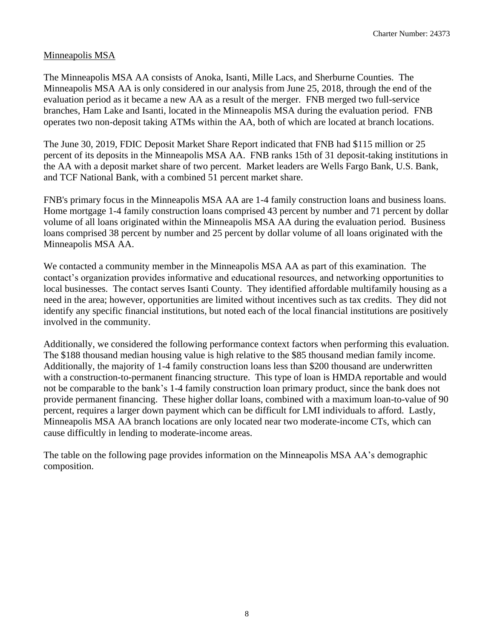#### Minneapolis MSA

The Minneapolis MSA AA consists of Anoka, Isanti, Mille Lacs, and Sherburne Counties. The Minneapolis MSA AA is only considered in our analysis from June 25, 2018, through the end of the evaluation period as it became a new AA as a result of the merger. FNB merged two full-service branches, Ham Lake and Isanti, located in the Minneapolis MSA during the evaluation period. FNB operates two non-deposit taking ATMs within the AA, both of which are located at branch locations.

The June 30, 2019, FDIC Deposit Market Share Report indicated that FNB had \$115 million or 25 percent of its deposits in the Minneapolis MSA AA. FNB ranks 15th of 31 deposit-taking institutions in the AA with a deposit market share of two percent. Market leaders are Wells Fargo Bank, U.S. Bank, and TCF National Bank, with a combined 51 percent market share.

FNB's primary focus in the Minneapolis MSA AA are 1-4 family construction loans and business loans. Home mortgage 1-4 family construction loans comprised 43 percent by number and 71 percent by dollar volume of all loans originated within the Minneapolis MSA AA during the evaluation period. Business loans comprised 38 percent by number and 25 percent by dollar volume of all loans originated with the Minneapolis MSA AA.

involved in the community. We contacted a community member in the Minneapolis MSA AA as part of this examination. The contact's organization provides informative and educational resources, and networking opportunities to local businesses. The contact serves Isanti County. They identified affordable multifamily housing as a need in the area; however, opportunities are limited without incentives such as tax credits. They did not identify any specific financial institutions, but noted each of the local financial institutions are positively

 provide permanent financing. These higher dollar loans, combined with a maximum loan-to-value of 90 Additionally, we considered the following performance context factors when performing this evaluation. The \$188 thousand median housing value is high relative to the \$85 thousand median family income. Additionally, the majority of 1-4 family construction loans less than \$200 thousand are underwritten with a construction-to-permanent financing structure. This type of loan is HMDA reportable and would not be comparable to the bank's 1-4 family construction loan primary product, since the bank does not percent, requires a larger down payment which can be difficult for LMI individuals to afford. Lastly, Minneapolis MSA AA branch locations are only located near two moderate-income CTs, which can cause difficultly in lending to moderate-income areas.

The table on the following page provides information on the Minneapolis MSA AA's demographic composition.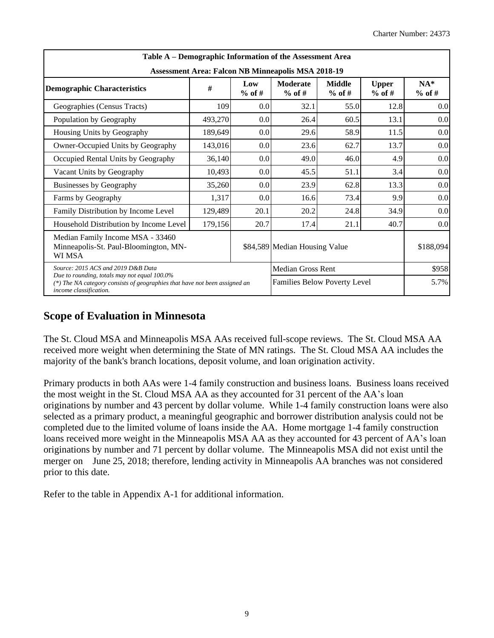| Table A – Demographic Information of the Assessment Area                                                                                             |         |                  |                               |                           |                          |                   |  |  |  |  |
|------------------------------------------------------------------------------------------------------------------------------------------------------|---------|------------------|-------------------------------|---------------------------|--------------------------|-------------------|--|--|--|--|
| <b>Assessment Area: Falcon NB Minneapolis MSA 2018-19</b>                                                                                            |         |                  |                               |                           |                          |                   |  |  |  |  |
| <b>Demographic Characteristics</b>                                                                                                                   | #       | Low<br>$%$ of #  | Moderate<br>$%$ of #          | <b>Middle</b><br>$%$ of # | <b>Upper</b><br>$%$ of # | $NA*$<br>$%$ of # |  |  |  |  |
| Geographies (Census Tracts)                                                                                                                          | 109     | 0.0 <sub>1</sub> | 32.1                          | 55.0                      | 12.8                     | 0.0               |  |  |  |  |
| Population by Geography                                                                                                                              | 493,270 | 0.0              | 26.4                          | 60.5                      | 13.1                     | 0.0               |  |  |  |  |
| Housing Units by Geography                                                                                                                           | 189,649 | 0.0              | 29.6                          | 58.9                      | 11.5                     | 0.0               |  |  |  |  |
| Owner-Occupied Units by Geography                                                                                                                    | 143,016 | 0.0              | 23.6                          | 62.7                      | 13.7                     | 0.0               |  |  |  |  |
| Occupied Rental Units by Geography                                                                                                                   | 36,140  | 0.0              | 49.0                          | 46.0                      | 4.9                      | 0.0               |  |  |  |  |
| Vacant Units by Geography                                                                                                                            | 10,493  | 0.0              | 45.5                          | 51.1                      | 3.4                      | 0.0               |  |  |  |  |
| Businesses by Geography                                                                                                                              | 35,260  | 0.0              | 23.9                          | 62.8                      | 13.3                     | 0.0               |  |  |  |  |
| Farms by Geography                                                                                                                                   | 1,317   | 0.0              | 16.6                          | 73.4                      | 9.9                      | 0.0               |  |  |  |  |
| Family Distribution by Income Level                                                                                                                  | 129,489 | 20.1             | 20.2                          | 24.8                      | 34.9                     | 0.0               |  |  |  |  |
| Household Distribution by Income Level                                                                                                               | 179,156 | 20.7             | 17.4                          | 21.1                      | 40.7                     | 0.0               |  |  |  |  |
| Median Family Income MSA - 33460<br>Minneapolis-St. Paul-Bloomington, MN-<br>WI MSA                                                                  |         |                  | \$84,589 Median Housing Value |                           | \$188,094                |                   |  |  |  |  |
| Source: 2015 ACS and 2019 D&B Data                                                                                                                   |         |                  | <b>Median Gross Rent</b>      |                           |                          | \$958             |  |  |  |  |
| Due to rounding, totals may not equal 100.0%<br>(*) The NA category consists of geographies that have not been assigned an<br>income classification. |         |                  | Families Below Poverty Level  |                           |                          | 5.7%              |  |  |  |  |

### **Scope of Evaluation in Minnesota**

The St. Cloud MSA and Minneapolis MSA AAs received full-scope reviews. The St. Cloud MSA AA received more weight when determining the State of MN ratings. The St. Cloud MSA AA includes the majority of the bank's branch locations, deposit volume, and loan origination activity.

 merger on June 25, 2018; therefore, lending activity in Minneapolis AA branches was not considered prior to this date. Primary products in both AAs were 1-4 family construction and business loans. Business loans received the most weight in the St. Cloud MSA AA as they accounted for 31 percent of the AA's loan originations by number and 43 percent by dollar volume. While 1-4 family construction loans were also selected as a primary product, a meaningful geographic and borrower distribution analysis could not be completed due to the limited volume of loans inside the AA. Home mortgage 1-4 family construction loans received more weight in the Minneapolis MSA AA as they accounted for 43 percent of AA's loan originations by number and 71 percent by dollar volume. The Minneapolis MSA did not exist until the

Refer to the table in Appendix A-1 for additional information.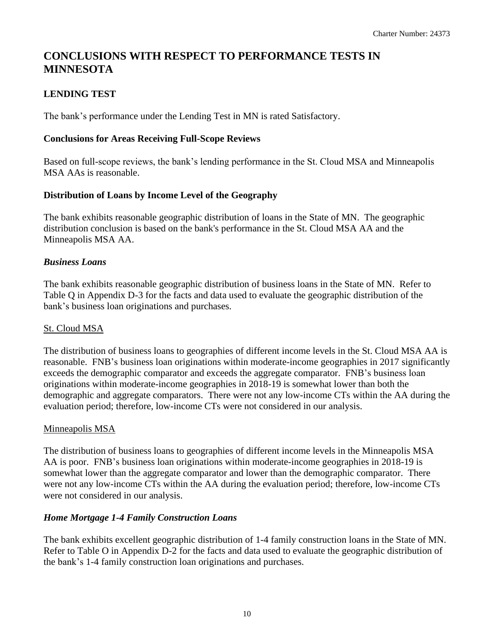### **CONCLUSIONS WITH RESPECT TO PERFORMANCE TESTS IN MINNESOTA**

#### <span id="page-10-0"></span>**LENDING TEST**

The bank's performance under the Lending Test in MN is rated Satisfactory.

#### **Conclusions for Areas Receiving Full-Scope Reviews**

Based on full-scope reviews, the bank's lending performance in the St. Cloud MSA and Minneapolis MSA AAs is reasonable.

#### **Distribution of Loans by Income Level of the Geography**

The bank exhibits reasonable geographic distribution of loans in the State of MN. The geographic distribution conclusion is based on the bank's performance in the St. Cloud MSA AA and the Minneapolis MSA AA.

#### *Business Loans*

The bank exhibits reasonable geographic distribution of business loans in the State of MN. Refer to Table Q in Appendix D-3 for the facts and data used to evaluate the geographic distribution of the bank's business loan originations and purchases.

#### St. Cloud MSA

 evaluation period; therefore, low-income CTs were not considered in our analysis. The distribution of business loans to geographies of different income levels in the St. Cloud MSA AA is reasonable. FNB's business loan originations within moderate-income geographies in 2017 significantly exceeds the demographic comparator and exceeds the aggregate comparator. FNB's business loan originations within moderate-income geographies in 2018-19 is somewhat lower than both the demographic and aggregate comparators. There were not any low-income CTs within the AA during the

#### Minneapolis MSA

The distribution of business loans to geographies of different income levels in the Minneapolis MSA AA is poor. FNB's business loan originations within moderate-income geographies in 2018-19 is somewhat lower than the aggregate comparator and lower than the demographic comparator. There were not any low-income CTs within the AA during the evaluation period; therefore, low-income CTs were not considered in our analysis.

#### *Home Mortgage 1-4 Family Construction Loans*

The bank exhibits excellent geographic distribution of 1-4 family construction loans in the State of MN. Refer to Table O in Appendix D-2 for the facts and data used to evaluate the geographic distribution of the bank's 1-4 family construction loan originations and purchases.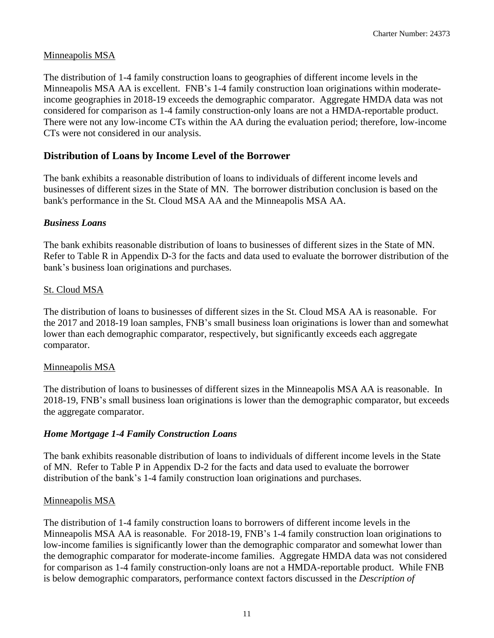#### Minneapolis MSA

 income geographies in 2018-19 exceeds the demographic comparator. Aggregate HMDA data was not CTs were not considered in our analysis. The distribution of 1-4 family construction loans to geographies of different income levels in the Minneapolis MSA AA is excellent. FNB's 1-4 family construction loan originations within moderateconsidered for comparison as 1-4 family construction-only loans are not a HMDA-reportable product. There were not any low-income CTs within the AA during the evaluation period; therefore, low-income

#### **Distribution of Loans by Income Level of the Borrower**

The bank exhibits a reasonable distribution of loans to individuals of different income levels and businesses of different sizes in the State of MN. The borrower distribution conclusion is based on the bank's performance in the St. Cloud MSA AA and the Minneapolis MSA AA.

#### *Business Loans*

The bank exhibits reasonable distribution of loans to businesses of different sizes in the State of MN. Refer to Table R in Appendix D-3 for the facts and data used to evaluate the borrower distribution of the bank's business loan originations and purchases.

#### St. Cloud MSA

The distribution of loans to businesses of different sizes in the St. Cloud MSA AA is reasonable. For the 2017 and 2018-19 loan samples, FNB's small business loan originations is lower than and somewhat lower than each demographic comparator, respectively, but significantly exceeds each aggregate comparator.

#### Minneapolis MSA

 the aggregate comparator. The distribution of loans to businesses of different sizes in the Minneapolis MSA AA is reasonable. In 2018-19, FNB's small business loan originations is lower than the demographic comparator, but exceeds

#### *Home Mortgage 1-4 Family Construction Loans*

The bank exhibits reasonable distribution of loans to individuals of different income levels in the State of MN. Refer to Table P in Appendix D-2 for the facts and data used to evaluate the borrower distribution of the bank's 1-4 family construction loan originations and purchases.

#### Minneapolis MSA

The distribution of 1-4 family construction loans to borrowers of different income levels in the Minneapolis MSA AA is reasonable. For 2018-19, FNB's 1-4 family construction loan originations to low-income families is significantly lower than the demographic comparator and somewhat lower than the demographic comparator for moderate-income families. Aggregate HMDA data was not considered for comparison as 1-4 family construction-only loans are not a HMDA-reportable product. While FNB is below demographic comparators, performance context factors discussed in the *Description of*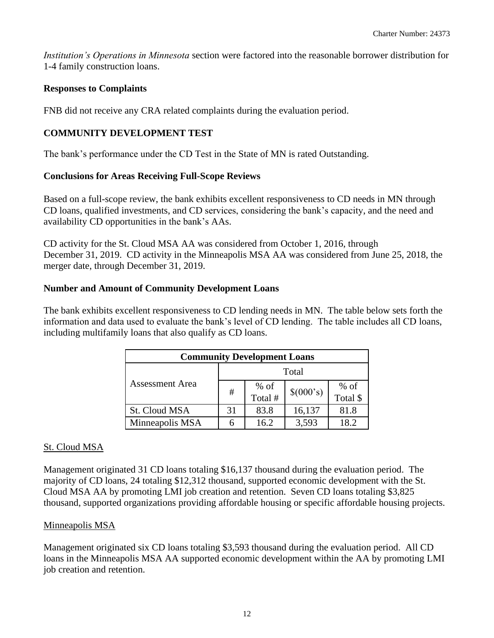*Institution's Operations in Minnesota* section were factored into the reasonable borrower distribution for 1-4 family construction loans.

#### **Responses to Complaints**

FNB did not receive any CRA related complaints during the evaluation period.

#### <span id="page-12-0"></span>**COMMUNITY DEVELOPMENT TEST**

The bank's performance under the CD Test in the State of MN is rated Outstanding.

#### **Conclusions for Areas Receiving Full-Scope Reviews**

Based on a full-scope review, the bank exhibits excellent responsiveness to CD needs in MN through CD loans, qualified investments, and CD services, considering the bank's capacity, and the need and availability CD opportunities in the bank's AAs.

CD activity for the St. Cloud MSA AA was considered from October 1, 2016, through December 31, 2019. CD activity in the Minneapolis MSA AA was considered from June 25, 2018, the merger date, through December 31, 2019.

#### **Number and Amount of Community Development Loans**

The bank exhibits excellent responsiveness to CD lending needs in MN. The table below sets forth the information and data used to evaluate the bank's level of CD lending. The table includes all CD loans, including multifamily loans that also qualify as CD loans.

| <b>Community Development Loans</b> |    |                   |           |          |  |  |  |  |
|------------------------------------|----|-------------------|-----------|----------|--|--|--|--|
|                                    |    | Total             |           |          |  |  |  |  |
| Assessment Area                    | #  | $%$ of Total $\#$ | \$(000's) | $%$ of   |  |  |  |  |
|                                    |    |                   |           | Total \$ |  |  |  |  |
| St. Cloud MSA                      | 31 | 83.8              | 16,137    | 81.8     |  |  |  |  |
| Minneapolis MSA                    | h  | 16.2              | 3,593     | 18.2     |  |  |  |  |

#### St. Cloud MSA

Management originated 31 CD loans totaling \$16,137 thousand during the evaluation period. The majority of CD loans, 24 totaling \$12,312 thousand, supported economic development with the St. Cloud MSA AA by promoting LMI job creation and retention. Seven CD loans totaling \$3,825 thousand, supported organizations providing affordable housing or specific affordable housing projects.

#### Minneapolis MSA

job creation and retention. Management originated six CD loans totaling \$3,593 thousand during the evaluation period. All CD loans in the Minneapolis MSA AA supported economic development within the AA by promoting LMI job creation and retention.<br>12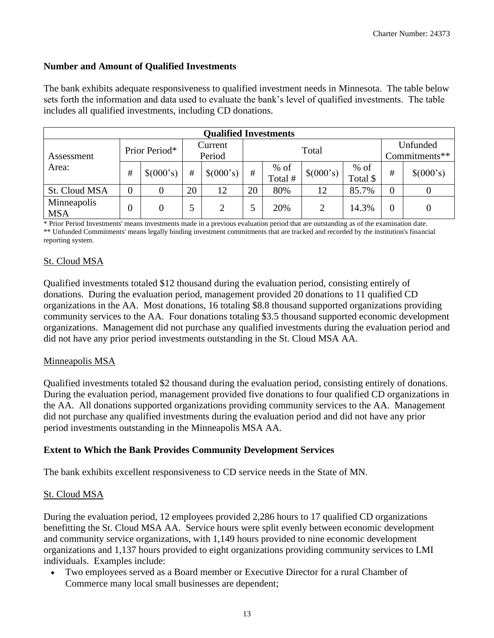#### **Number and Amount of Qualified Investments**

The bank exhibits adequate responsiveness to qualified investment needs in Minnesota. The table below sets forth the information and data used to evaluate the bank's level of qualified investments. The table includes all qualified investments, including CD donations.

| <b>Qualified Investments</b> |               |           |         |                |    |                   |           |                    |                |                |  |
|------------------------------|---------------|-----------|---------|----------------|----|-------------------|-----------|--------------------|----------------|----------------|--|
|                              | Prior Period* |           | Current |                |    |                   |           | Unfunded           |                |                |  |
| Assessment<br>Area:          |               |           | Period  |                |    | Total             |           |                    |                | Commitments**  |  |
|                              | #             | \$(000's) | #       | \$(000's)      | #  | $%$ of<br>Total # | \$(000's) | $%$ of<br>Total \$ | #              | \$(000's)      |  |
| St. Cloud MSA                |               |           | 20      | 12             | 20 | 80%               | 12        | 85.7%              | $\overline{0}$ |                |  |
| Minneapolis<br><b>MSA</b>    |               | 0         |         | $\overline{2}$ |    | 20%               | 2         | 14.3%              | 0              | $\overline{0}$ |  |

 \* Prior Period Investments' means investments made in a previous evaluation period that are outstanding as of the examination date. \*\* Unfunded Commitments' means legally binding investment commitments that are tracked and recorded by the institution's financial reporting system.

#### St. Cloud MSA

Qualified investments totaled \$12 thousand during the evaluation period, consisting entirely of donations. During the evaluation period, management provided 20 donations to 11 qualified CD organizations in the AA. Most donations, 16 totaling \$8.8 thousand supported organizations providing community services to the AA. Four donations totaling \$3.5 thousand supported economic development organizations. Management did not purchase any qualified investments during the evaluation period and did not have any prior period investments outstanding in the St. Cloud MSA AA.

#### Minneapolis MSA

Qualified investments totaled \$2 thousand during the evaluation period, consisting entirely of donations. During the evaluation period, management provided five donations to four qualified CD organizations in the AA. All donations supported organizations providing community services to the AA. Management did not purchase any qualified investments during the evaluation period and did not have any prior period investments outstanding in the Minneapolis MSA AA.

#### **Extent to Which the Bank Provides Community Development Services**

The bank exhibits excellent responsiveness to CD service needs in the State of MN.

#### St. Cloud MSA

During the evaluation period, 12 employees provided 2,286 hours to 17 qualified CD organizations benefitting the St. Cloud MSA AA. Service hours were split evenly between economic development and community service organizations, with 1,149 hours provided to nine economic development organizations and 1,137 hours provided to eight organizations providing community services to LMI individuals. Examples include:

• Two employees served as a Board member or Executive Director for a rural Chamber of Commerce many local small businesses are dependent;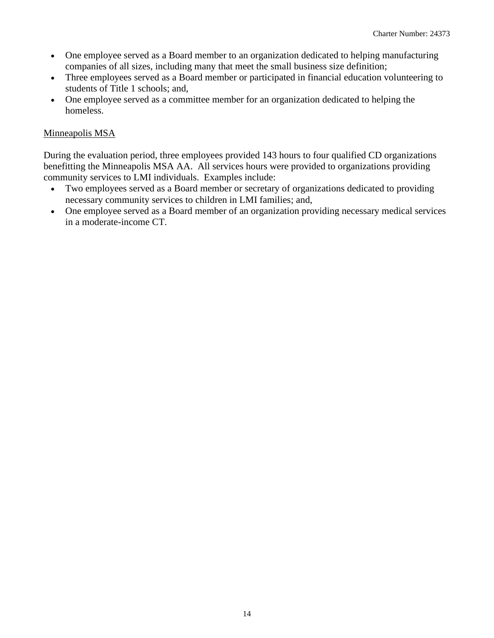- One employee served as a Board member to an organization dedicated to helping manufacturing companies of all sizes, including many that meet the small business size definition;
- Three employees served as a Board member or participated in financial education volunteering to students of Title 1 schools; and,
- One employee served as a committee member for an organization dedicated to helping the homeless.

#### Minneapolis MSA

During the evaluation period, three employees provided 143 hours to four qualified CD organizations benefitting the Minneapolis MSA AA. All services hours were provided to organizations providing community services to LMI individuals. Examples include:

- Two employees served as a Board member or secretary of organizations dedicated to providing necessary community services to children in LMI families; and,
- One employee served as a Board member of an organization providing necessary medical services in a moderate-income CT.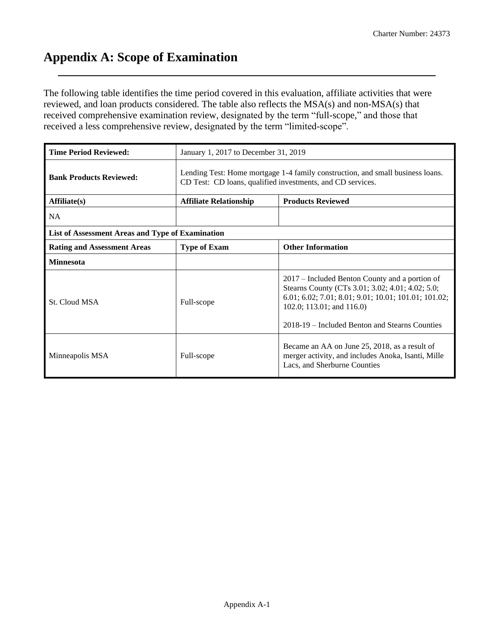### <span id="page-15-0"></span>**Appendix A: Scope of Examination**

The following table identifies the time period covered in this evaluation, affiliate activities that were reviewed, and loan products considered. The table also reflects the MSA(s) and non-MSA(s) that received comprehensive examination review, designated by the term "full-scope," and those that received a less comprehensive review, designated by the term "limited-scope".

| <b>Time Period Reviewed:</b>                     | January 1, 2017 to December 31, 2019                                                                                                         |                                                                                                                                                                                                                                           |  |  |  |  |  |  |
|--------------------------------------------------|----------------------------------------------------------------------------------------------------------------------------------------------|-------------------------------------------------------------------------------------------------------------------------------------------------------------------------------------------------------------------------------------------|--|--|--|--|--|--|
| <b>Bank Products Reviewed:</b>                   | Lending Test: Home mortgage 1-4 family construction, and small business loans.<br>CD Test: CD loans, qualified investments, and CD services. |                                                                                                                                                                                                                                           |  |  |  |  |  |  |
| Affiliate(s)                                     | <b>Affiliate Relationship</b>                                                                                                                | <b>Products Reviewed</b>                                                                                                                                                                                                                  |  |  |  |  |  |  |
| <b>NA</b>                                        |                                                                                                                                              |                                                                                                                                                                                                                                           |  |  |  |  |  |  |
| List of Assessment Areas and Type of Examination |                                                                                                                                              |                                                                                                                                                                                                                                           |  |  |  |  |  |  |
| <b>Rating and Assessment Areas</b>               | <b>Type of Exam</b>                                                                                                                          | <b>Other Information</b>                                                                                                                                                                                                                  |  |  |  |  |  |  |
| <b>Minnesota</b>                                 |                                                                                                                                              |                                                                                                                                                                                                                                           |  |  |  |  |  |  |
| St. Cloud MSA                                    | Full-scope                                                                                                                                   | 2017 – Included Benton County and a portion of<br>Stearns County (CTs 3.01; 3.02; 4.01; 4.02; 5.0;<br>6.01; 6.02; 7.01; 8.01; 9.01; 10.01; 101.01; 101.02;<br>102.0; 113.01; and 116.0)<br>2018-19 – Included Benton and Stearns Counties |  |  |  |  |  |  |
| Minneapolis MSA                                  | Full-scope                                                                                                                                   | Became an AA on June 25, 2018, as a result of<br>merger activity, and includes Anoka, Isanti, Mille<br>Lacs, and Sherburne Counties                                                                                                       |  |  |  |  |  |  |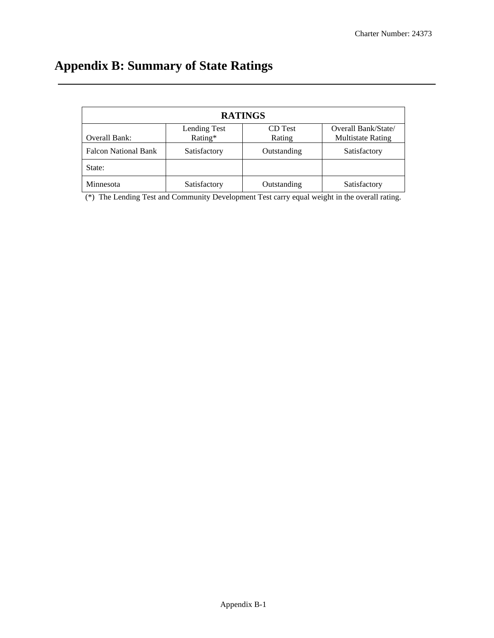# <span id="page-16-0"></span>**Appendix B: Summary of State Ratings**

| <b>RATINGS</b>                                 |              |             |                          |  |  |  |  |  |  |
|------------------------------------------------|--------------|-------------|--------------------------|--|--|--|--|--|--|
| Overall Bank/State/<br>Lending Test<br>CD Test |              |             |                          |  |  |  |  |  |  |
| Overall Bank:                                  | Rating*      | Rating      | <b>Multistate Rating</b> |  |  |  |  |  |  |
| <b>Falcon National Bank</b>                    | Satisfactory | Outstanding | Satisfactory             |  |  |  |  |  |  |
| State:                                         |              |             |                          |  |  |  |  |  |  |
| Minnesota                                      | Satisfactory | Outstanding | Satisfactory             |  |  |  |  |  |  |

(\*) The Lending Test and Community Development Test carry equal weight in the overall rating.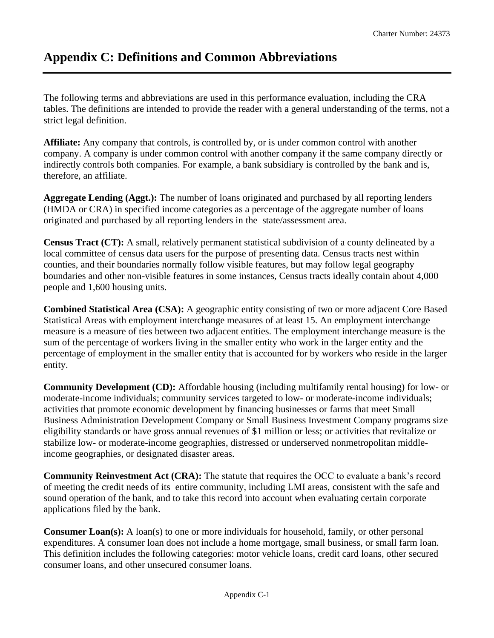## <span id="page-17-0"></span>**Appendix C: Definitions and Common Abbreviations**

The following terms and abbreviations are used in this performance evaluation, including the CRA tables. The definitions are intended to provide the reader with a general understanding of the terms, not a strict legal definition.

**Affiliate:** Any company that controls, is controlled by, or is under common control with another company. A company is under common control with another company if the same company directly or indirectly controls both companies. For example, a bank subsidiary is controlled by the bank and is, therefore, an affiliate.

**Aggregate Lending (Aggt.):** The number of loans originated and purchased by all reporting lenders (HMDA or CRA) in specified income categories as a percentage of the aggregate number of loans originated and purchased by all reporting lenders in the state/assessment area.

**Census Tract (CT):** A small, relatively permanent statistical subdivision of a county delineated by a local committee of census data users for the purpose of presenting data. Census tracts nest within counties, and their boundaries normally follow visible features, but may follow legal geography boundaries and other non-visible features in some instances, Census tracts ideally contain about 4,000 people and 1,600 housing units.

**Combined Statistical Area (CSA):** A geographic entity consisting of two or more adjacent Core Based Statistical Areas with employment interchange measures of at least 15. An employment interchange measure is a measure of ties between two adjacent entities. The employment interchange measure is the sum of the percentage of workers living in the smaller entity who work in the larger entity and the percentage of employment in the smaller entity that is accounted for by workers who reside in the larger entity.

**Community Development (CD):** Affordable housing (including multifamily rental housing) for low- or moderate-income individuals; community services targeted to low- or moderate-income individuals; activities that promote economic development by financing businesses or farms that meet Small Business Administration Development Company or Small Business Investment Company programs size eligibility standards or have gross annual revenues of \$1 million or less; or activities that revitalize or stabilize low- or moderate-income geographies, distressed or underserved nonmetropolitan middleincome geographies, or designated disaster areas.

**Community Reinvestment Act (CRA):** The statute that requires the OCC to evaluate a bank's record of meeting the credit needs of its entire community, including LMI areas, consistent with the safe and sound operation of the bank, and to take this record into account when evaluating certain corporate applications filed by the bank.

**Consumer Loan(s):** A loan(s) to one or more individuals for household, family, or other personal expenditures. A consumer loan does not include a home mortgage, small business, or small farm loan. This definition includes the following categories: motor vehicle loans, credit card loans, other secured consumer loans, and other unsecured consumer loans.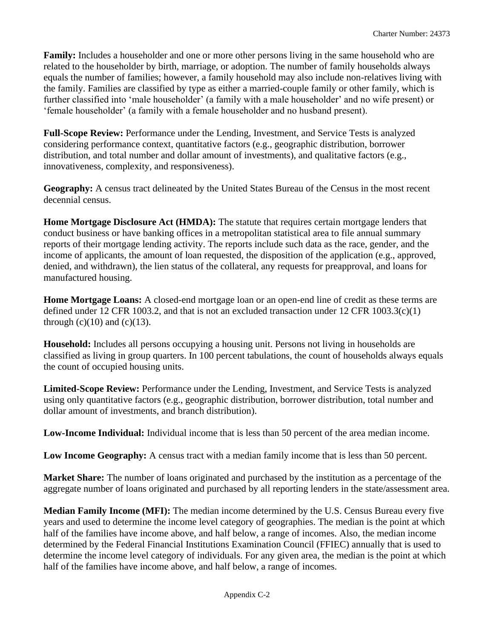**Family:** Includes a householder and one or more other persons living in the same household who are related to the householder by birth, marriage, or adoption. The number of family households always equals the number of families; however, a family household may also include non-relatives living with the family. Families are classified by type as either a married-couple family or other family, which is further classified into 'male householder' (a family with a male householder' and no wife present) or 'female householder' (a family with a female householder and no husband present).

**Full-Scope Review:** Performance under the Lending, Investment, and Service Tests is analyzed considering performance context, quantitative factors (e.g., geographic distribution, borrower distribution, and total number and dollar amount of investments), and qualitative factors (e.g., innovativeness, complexity, and responsiveness).

**Geography:** A census tract delineated by the United States Bureau of the Census in the most recent decennial census.

**Home Mortgage Disclosure Act (HMDA):** The statute that requires certain mortgage lenders that conduct business or have banking offices in a metropolitan statistical area to file annual summary reports of their mortgage lending activity. The reports include such data as the race, gender, and the income of applicants, the amount of loan requested, the disposition of the application (e.g., approved, denied, and withdrawn), the lien status of the collateral, any requests for preapproval, and loans for manufactured housing.

**Home Mortgage Loans:** A closed-end mortgage loan or an open-end line of credit as these terms are defined under 12 CFR 1003.2, and that is not an excluded transaction under 12 CFR 1003.3(c)(1) through  $(c)(10)$  and  $(c)(13)$ .

**Household:** Includes all persons occupying a housing unit. Persons not living in households are classified as living in group quarters. In 100 percent tabulations, the count of households always equals the count of occupied housing units.

**Limited-Scope Review:** Performance under the Lending, Investment, and Service Tests is analyzed using only quantitative factors (e.g., geographic distribution, borrower distribution, total number and dollar amount of investments, and branch distribution).

**Low-Income Individual:** Individual income that is less than 50 percent of the area median income.

Low Income Geography: A census tract with a median family income that is less than 50 percent.

**Market Share:** The number of loans originated and purchased by the institution as a percentage of the aggregate number of loans originated and purchased by all reporting lenders in the state/assessment area.

**Median Family Income (MFI):** The median income determined by the U.S. Census Bureau every five years and used to determine the income level category of geographies. The median is the point at which half of the families have income above, and half below, a range of incomes. Also, the median income determined by the Federal Financial Institutions Examination Council (FFIEC) annually that is used to determine the income level category of individuals. For any given area, the median is the point at which half of the families have income above, and half below, a range of incomes.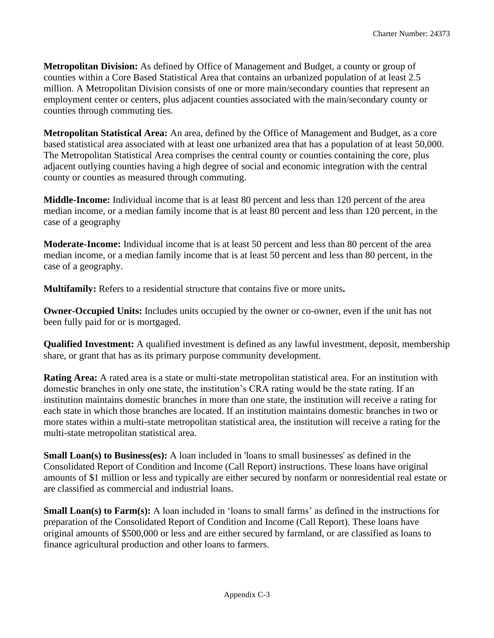**Metropolitan Division:** As defined by Office of Management and Budget, a county or group of counties within a Core Based Statistical Area that contains an urbanized population of at least 2.5 million. A Metropolitan Division consists of one or more main/secondary counties that represent an employment center or centers, plus adjacent counties associated with the main/secondary county or counties through commuting ties.

**Metropolitan Statistical Area:** An area, defined by the Office of Management and Budget, as a core based statistical area associated with at least one urbanized area that has a population of at least 50,000. The Metropolitan Statistical Area comprises the central county or counties containing the core, plus adjacent outlying counties having a high degree of social and economic integration with the central county or counties as measured through commuting.

**Middle-Income:** Individual income that is at least 80 percent and less than 120 percent of the area median income, or a median family income that is at least 80 percent and less than 120 percent, in the case of a geography

**Moderate-Income:** Individual income that is at least 50 percent and less than 80 percent of the area median income, or a median family income that is at least 50 percent and less than 80 percent, in the case of a geography.

**Multifamily:** Refers to a residential structure that contains five or more units**.** 

**Owner-Occupied Units:** Includes units occupied by the owner or co-owner, even if the unit has not been fully paid for or is mortgaged.

**Qualified Investment:** A qualified investment is defined as any lawful investment, deposit, membership share, or grant that has as its primary purpose community development.

**Rating Area:** A rated area is a state or multi-state metropolitan statistical area. For an institution with domestic branches in only one state, the institution's CRA rating would be the state rating. If an institution maintains domestic branches in more than one state, the institution will receive a rating for each state in which those branches are located. If an institution maintains domestic branches in two or more states within a multi-state metropolitan statistical area, the institution will receive a rating for the multi-state metropolitan statistical area.

**Small Loan(s) to Business(es):** A loan included in 'loans to small businesses' as defined in the Consolidated Report of Condition and Income (Call Report) instructions. These loans have original amounts of \$1 million or less and typically are either secured by nonfarm or nonresidential real estate or are classified as commercial and industrial loans.

**Small Loan(s) to Farm(s):** A loan included in 'loans to small farms' as defined in the instructions for preparation of the Consolidated Report of Condition and Income (Call Report). These loans have original amounts of \$500,000 or less and are either secured by farmland, or are classified as loans to finance agricultural production and other loans to farmers.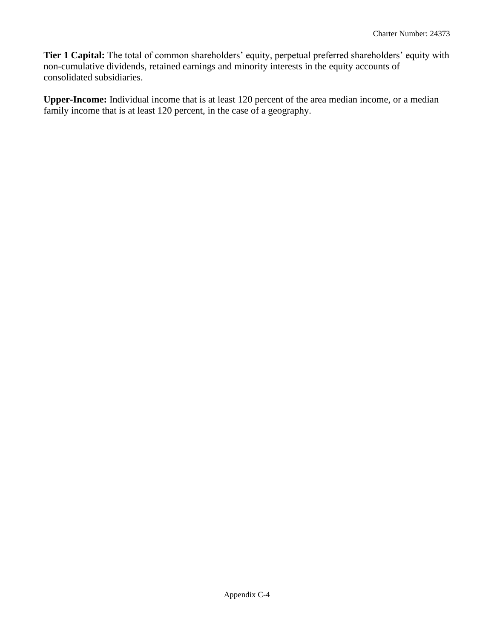**Tier 1 Capital:** The total of common shareholders' equity, perpetual preferred shareholders' equity with non-cumulative dividends, retained earnings and minority interests in the equity accounts of consolidated subsidiaries.

**Upper-Income:** Individual income that is at least 120 percent of the area median income, or a median family income that is at least 120 percent, in the case of a geography.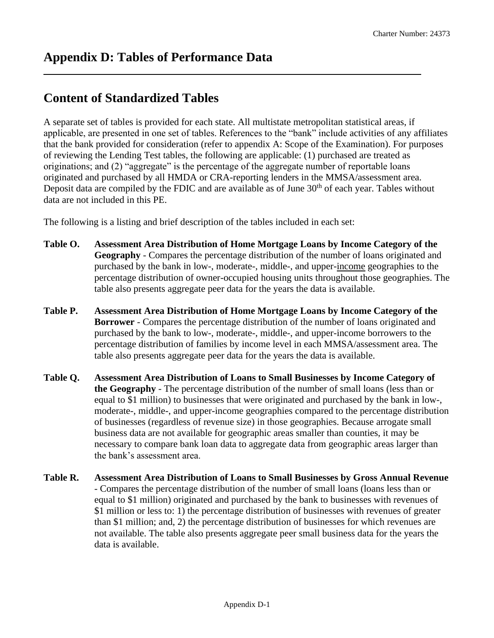### <span id="page-21-0"></span>**Content of Standardized Tables**

A separate set of tables is provided for each state. All multistate metropolitan statistical areas, if applicable, are presented in one set of tables. References to the "bank" include activities of any affiliates that the bank provided for consideration (refer to appendix A: Scope of the Examination). For purposes of reviewing the Lending Test tables, the following are applicable: (1) purchased are treated as originations; and (2) "aggregate" is the percentage of the aggregate number of reportable loans originated and purchased by all HMDA or CRA-reporting lenders in the MMSA/assessment area. Deposit data are compiled by the FDIC and are available as of June  $30<sup>th</sup>$  of each year. Tables without data are not included in this PE.

The following is a listing and brief description of the tables included in each set:

- **Table O. Assessment Area Distribution of Home Mortgage Loans by Income Category of the Geography** - Compares the percentage distribution of the number of loans originated and purchased by the bank in low-, moderate-, middle-, and upper-income geographies to the percentage distribution of owner-occupied housing units throughout those geographies. The table also presents aggregate peer data for the years the data is available.
- **Table P. Assessment Area Distribution of Home Mortgage Loans by Income Category of the Borrower** - Compares the percentage distribution of the number of loans originated and purchased by the bank to low-, moderate-, middle-, and upper-income borrowers to the percentage distribution of families by income level in each MMSA/assessment area. The table also presents aggregate peer data for the years the data is available.
- **Table Q. Assessment Area Distribution of Loans to Small Businesses by Income Category of the Geography** - The percentage distribution of the number of small loans (less than or equal to \$1 million) to businesses that were originated and purchased by the bank in low-, moderate-, middle-, and upper-income geographies compared to the percentage distribution of businesses (regardless of revenue size) in those geographies. Because arrogate small business data are not available for geographic areas smaller than counties, it may be necessary to compare bank loan data to aggregate data from geographic areas larger than the bank's assessment area.
- **Table R. Assessment Area Distribution of Loans to Small Businesses by Gross Annual Revenue**  - Compares the percentage distribution of the number of small loans (loans less than or equal to \$1 million) originated and purchased by the bank to businesses with revenues of \$1 million or less to: 1) the percentage distribution of businesses with revenues of greater than \$1 million; and, 2) the percentage distribution of businesses for which revenues are not available. The table also presents aggregate peer small business data for the years the data is available.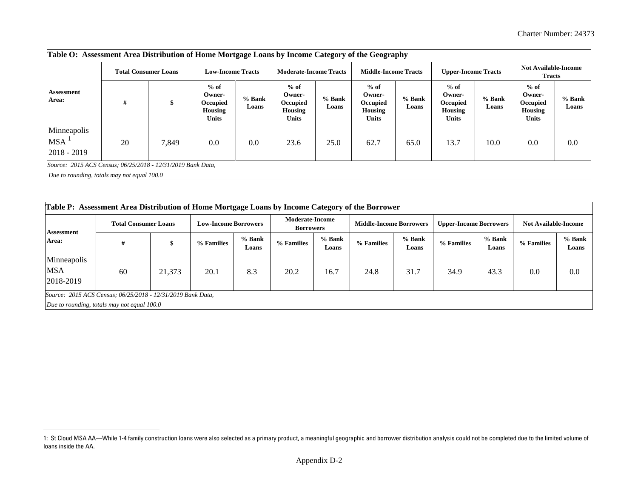| Table O: Assessment Area Distribution of Home Mortgage Loans by Income Category of the Geography           |                             |       |                                                                |                 |                                                                |                 |                                                         |                 |                                                         |                 |                                                         |                   |
|------------------------------------------------------------------------------------------------------------|-----------------------------|-------|----------------------------------------------------------------|-----------------|----------------------------------------------------------------|-----------------|---------------------------------------------------------|-----------------|---------------------------------------------------------|-----------------|---------------------------------------------------------|-------------------|
|                                                                                                            | <b>Total Consumer Loans</b> |       | <b>Low-Income Tracts</b>                                       |                 | <b>Moderate-Income Tracts</b>                                  |                 | <b>Middle-Income Tracts</b>                             |                 | <b>Upper-Income Tracts</b>                              |                 | <b>Not Available-Income</b><br><b>Tracts</b>            |                   |
| Assessment<br>Area:                                                                                        | #                           | \$    | $%$ of<br>Owner-<br>Occupied<br><b>Housing</b><br><b>Units</b> | % Bank<br>Loans | $%$ of<br>Owner-<br>Occupied<br><b>Housing</b><br><b>Units</b> | % Bank<br>Loans | $%$ of<br>Owner-<br>Occupied<br>Housing<br><b>Units</b> | % Bank<br>Loans | $%$ of<br>Owner-<br>Occupied<br><b>Housing</b><br>Units | % Bank<br>Loans | $%$ of<br>Owner-<br>Occupied<br>Housing<br><b>Units</b> | $%$ Bank<br>Loans |
| Minneapolis<br>$MSA$ <sup>1</sup><br>$ 2018 - 2019$                                                        | 20                          | 7.849 | 0.0                                                            | 0.0             | 23.6                                                           | 25.0            | 62.7                                                    | 65.0            | 13.7                                                    | 10.0            | 0.0                                                     | 0.0               |
| Source: 2015 ACS Census; 06/25/2018 - 12/31/2019 Bank Data,<br>Due to rounding, totals may not equal 100.0 |                             |       |                                                                |                 |                                                                |                 |                                                         |                 |                                                         |                 |                                                         |                   |

| Table P: Assessment Area Distribution of Home Mortgage Loans by Income Category of the Borrower |                                                                                                            |        |                             |                 |                                            |                 |                                |                 |                               |                 |                             |                   |  |
|-------------------------------------------------------------------------------------------------|------------------------------------------------------------------------------------------------------------|--------|-----------------------------|-----------------|--------------------------------------------|-----------------|--------------------------------|-----------------|-------------------------------|-----------------|-----------------------------|-------------------|--|
| Assessment<br>Area:                                                                             | <b>Total Consumer Loans</b>                                                                                |        | <b>Low-Income Borrowers</b> |                 | <b>Moderate-Income</b><br><b>Borrowers</b> |                 | <b>Middle-Income Borrowers</b> |                 | <b>Upper-Income Borrowers</b> |                 | <b>Not Available-Income</b> |                   |  |
|                                                                                                 | #                                                                                                          |        | % Families                  | % Bank<br>Loans | % Families                                 | % Bank<br>Loans | % Families                     | % Bank<br>Loans | % Families                    | % Bank<br>Loans | % Families                  | $%$ Bank<br>Loans |  |
| Minneapolis<br><b>MSA</b><br>2018-2019                                                          | 60                                                                                                         | 21.373 | 20.1                        | 8.3             | 20.2                                       | 16.7            | 24.8                           | 31.7            | 34.9                          | 43.3            | 0.0                         | 0.0               |  |
|                                                                                                 | Source: 2015 ACS Census; 06/25/2018 - 12/31/2019 Bank Data,<br>Due to rounding, totals may not equal 100.0 |        |                             |                 |                                            |                 |                                |                 |                               |                 |                             |                   |  |

 1: St Cloud MSA AA—While 1-4 family construction loans were also selected as a primary product, a meaningful geographic and borrower distribution analysis could not be completed due to the limited volume of loans inside the AA.